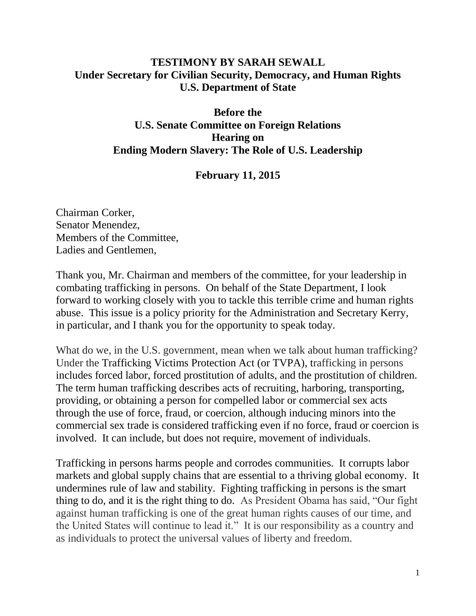## **TESTIMONY BY SARAH SEWALL Under Secretary for Civilian Security, Democracy, and Human Rights U.S. Department of State**

## **Before the U.S. Senate Committee on Foreign Relations Hearing on Ending Modern Slavery: The Role of U.S. Leadership**

## **February 11, 2015**

Chairman Corker, Senator Menendez, Members of the Committee, Ladies and Gentlemen,

Thank you, Mr. Chairman and members of the committee, for your leadership in combating trafficking in persons. On behalf of the State Department, I look forward to working closely with you to tackle this terrible crime and human rights abuse. This issue is a policy priority for the Administration and Secretary Kerry, in particular, and I thank you for the opportunity to speak today.

What do we, in the U.S. government, mean when we talk about human trafficking? Under the Trafficking Victims Protection Act (or TVPA), trafficking in persons includes forced labor, forced prostitution of adults, and the prostitution of children. The term human trafficking describes acts of recruiting, harboring, transporting, providing, or obtaining a person for compelled labor or commercial sex acts through the use of force, fraud, or coercion, although inducing minors into the commercial sex trade is considered trafficking even if no force, fraud or coercion is involved. It can include, but does not require, movement of individuals.

Trafficking in persons harms people and corrodes communities. It corrupts labor markets and global supply chains that are essential to a thriving global economy. It undermines rule of law and stability. Fighting trafficking in persons is the smart thing to do, and it is the right thing to do. As President Obama has said, "Our fight against human trafficking is one of the great human rights causes of our time, and the United States will continue to lead it." It is our responsibility as a country and as individuals to protect the universal values of liberty and freedom.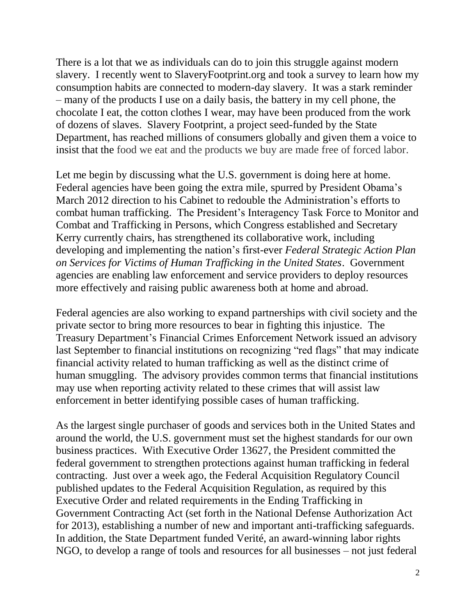There is a lot that we as individuals can do to join this struggle against modern slavery. I recently went to SlaveryFootprint.org and took a survey to learn how my consumption habits are connected to modern-day slavery. It was a stark reminder – many of the products I use on a daily basis, the battery in my cell phone, the chocolate I eat, the cotton clothes I wear, may have been produced from the work of dozens of slaves. Slavery Footprint, a project seed-funded by the State Department, has reached millions of consumers globally and given them a voice to insist that the food we eat and the products we buy are made free of forced labor.

Let me begin by discussing what the U.S. government is doing here at home. Federal agencies have been going the extra mile, spurred by President Obama's March 2012 direction to his Cabinet to redouble the Administration's efforts to combat human trafficking. The President's Interagency Task Force to Monitor and Combat and Trafficking in Persons, which Congress established and Secretary Kerry currently chairs, has strengthened its collaborative work, including developing and implementing the nation's first-ever *Federal Strategic Action Plan on Services for Victims of Human Trafficking in the United States*. Government agencies are enabling law enforcement and service providers to deploy resources more effectively and raising public awareness both at home and abroad.

Federal agencies are also working to expand partnerships with civil society and the private sector to bring more resources to bear in fighting this injustice. The Treasury Department's Financial Crimes Enforcement Network issued an advisory last September to financial institutions on recognizing "red flags" that may indicate financial activity related to human trafficking as well as the distinct crime of human smuggling. The advisory provides common terms that financial institutions may use when reporting activity related to these crimes that will assist law enforcement in better identifying possible cases of human trafficking.

As the largest single purchaser of goods and services both in the United States and around the world, the U.S. government must set the highest standards for our own business practices. With Executive Order 13627, the President committed the federal government to strengthen protections against human trafficking in federal contracting. Just over a week ago, the Federal Acquisition Regulatory Council published updates to the Federal Acquisition Regulation, as required by this Executive Order and related requirements in the Ending Trafficking in Government Contracting Act (set forth in the National Defense Authorization Act for 2013), establishing a number of new and important anti-trafficking safeguards. In addition, the State Department funded Verité, an award-winning labor rights NGO, to develop a range of tools and resources for all businesses – not just federal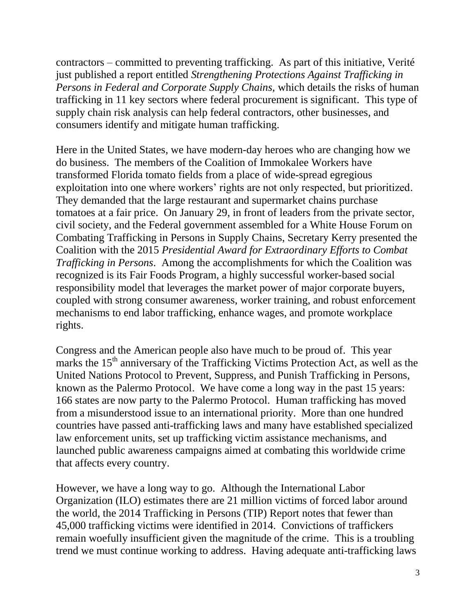contractors – committed to preventing trafficking. As part of this initiative, Verité just published a report entitled *Strengthening Protections Against Trafficking in Persons in Federal and Corporate Supply Chains,* which details the risks of human trafficking in 11 key sectors where federal procurement is significant. This type of supply chain risk analysis can help federal contractors, other businesses, and consumers identify and mitigate human trafficking.

Here in the United States, we have modern-day heroes who are changing how we do business. The members of the Coalition of Immokalee Workers have transformed Florida tomato fields from a place of wide-spread egregious exploitation into one where workers' rights are not only respected, but prioritized. They demanded that the large restaurant and supermarket chains purchase tomatoes at a fair price. On January 29, in front of leaders from the private sector, civil society, and the Federal government assembled for a White House Forum on Combating Trafficking in Persons in Supply Chains, Secretary Kerry presented the Coalition with the 2015 *Presidential Award for Extraordinary Efforts to Combat Trafficking in Persons*. Among the accomplishments for which the Coalition was recognized is its Fair Foods Program, a highly successful worker-based social responsibility model that leverages the market power of major corporate buyers, coupled with strong consumer awareness, worker training, and robust enforcement mechanisms to end labor trafficking, enhance wages, and promote workplace rights.

Congress and the American people also have much to be proud of. This year marks the 15<sup>th</sup> anniversary of the Trafficking Victims Protection Act, as well as the United Nations Protocol to Prevent, Suppress, and Punish Trafficking in Persons, known as the Palermo Protocol. We have come a long way in the past 15 years: 166 states are now party to the Palermo Protocol. Human trafficking has moved from a misunderstood issue to an international priority. More than one hundred countries have passed anti-trafficking laws and many have established specialized law enforcement units, set up trafficking victim assistance mechanisms, and launched public awareness campaigns aimed at combating this worldwide crime that affects every country.

However, we have a long way to go. Although the International Labor Organization (ILO) estimates there are 21 million victims of forced labor around the world, the 2014 Trafficking in Persons (TIP) Report notes that fewer than 45,000 trafficking victims were identified in 2014. Convictions of traffickers remain woefully insufficient given the magnitude of the crime. This is a troubling trend we must continue working to address. Having adequate anti-trafficking laws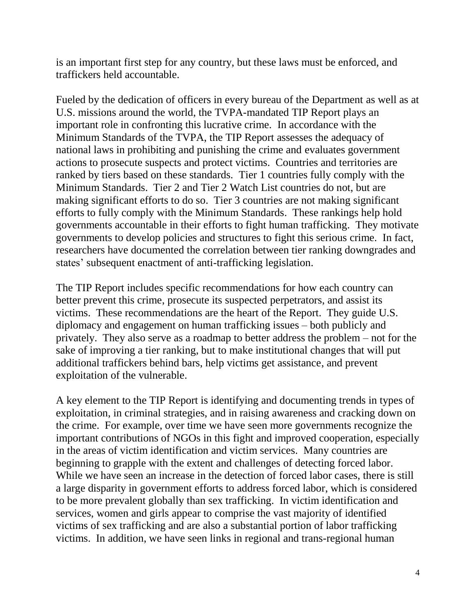is an important first step for any country, but these laws must be enforced, and traffickers held accountable.

Fueled by the dedication of officers in every bureau of the Department as well as at U.S. missions around the world, the TVPA-mandated TIP Report plays an important role in confronting this lucrative crime. In accordance with the Minimum Standards of the TVPA, the TIP Report assesses the adequacy of national laws in prohibiting and punishing the crime and evaluates government actions to prosecute suspects and protect victims. Countries and territories are ranked by tiers based on these standards. Tier 1 countries fully comply with the Minimum Standards. Tier 2 and Tier 2 Watch List countries do not, but are making significant efforts to do so. Tier 3 countries are not making significant efforts to fully comply with the Minimum Standards. These rankings help hold governments accountable in their efforts to fight human trafficking. They motivate governments to develop policies and structures to fight this serious crime. In fact, researchers have documented the correlation between tier ranking downgrades and states' subsequent enactment of anti-trafficking legislation.

The TIP Report includes specific recommendations for how each country can better prevent this crime, prosecute its suspected perpetrators, and assist its victims. These recommendations are the heart of the Report. They guide U.S. diplomacy and engagement on human trafficking issues – both publicly and privately. They also serve as a roadmap to better address the problem – not for the sake of improving a tier ranking, but to make institutional changes that will put additional traffickers behind bars, help victims get assistance, and prevent exploitation of the vulnerable.

A key element to the TIP Report is identifying and documenting trends in types of exploitation, in criminal strategies, and in raising awareness and cracking down on the crime. For example, over time we have seen more governments recognize the important contributions of NGOs in this fight and improved cooperation, especially in the areas of victim identification and victim services. Many countries are beginning to grapple with the extent and challenges of detecting forced labor. While we have seen an increase in the detection of forced labor cases, there is still a large disparity in government efforts to address forced labor, which is considered to be more prevalent globally than sex trafficking. In victim identification and services, women and girls appear to comprise the vast majority of identified victims of sex trafficking and are also a substantial portion of labor trafficking victims. In addition, we have seen links in regional and trans-regional human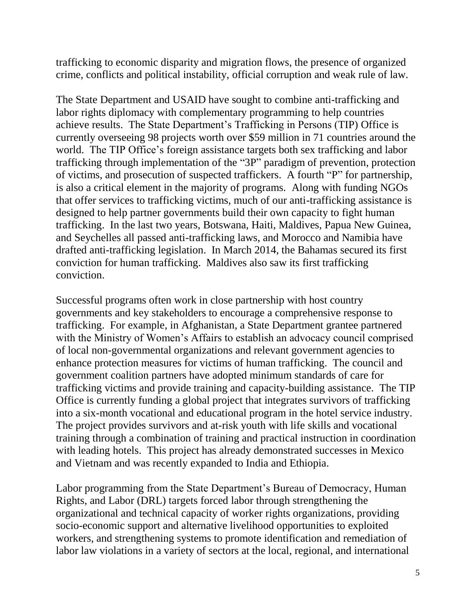trafficking to economic disparity and migration flows, the presence of organized crime, conflicts and political instability, official corruption and weak rule of law.

The State Department and USAID have sought to combine anti-trafficking and labor rights diplomacy with complementary programming to help countries achieve results. The State Department's Trafficking in Persons (TIP) Office is currently overseeing 98 projects worth over \$59 million in 71 countries around the world. The TIP Office's foreign assistance targets both sex trafficking and labor trafficking through implementation of the "3P" paradigm of prevention, protection of victims, and prosecution of suspected traffickers. A fourth "P" for partnership, is also a critical element in the majority of programs. Along with funding NGOs that offer services to trafficking victims, much of our anti-trafficking assistance is designed to help partner governments build their own capacity to fight human trafficking. In the last two years, Botswana, Haiti, Maldives, Papua New Guinea, and Seychelles all passed anti-trafficking laws, and Morocco and Namibia have drafted anti-trafficking legislation. In March 2014, the Bahamas secured its first conviction for human trafficking. Maldives also saw its first trafficking conviction.

Successful programs often work in close partnership with host country governments and key stakeholders to encourage a comprehensive response to trafficking. For example, in Afghanistan, a State Department grantee partnered with the Ministry of Women's Affairs to establish an advocacy council comprised of local non-governmental organizations and relevant government agencies to enhance protection measures for victims of human trafficking. The council and government coalition partners have adopted minimum standards of care for trafficking victims and provide training and capacity-building assistance. The TIP Office is currently funding a global project that integrates survivors of trafficking into a six-month vocational and educational program in the hotel service industry. The project provides survivors and at-risk youth with life skills and vocational training through a combination of training and practical instruction in coordination with leading hotels. This project has already demonstrated successes in Mexico and Vietnam and was recently expanded to India and Ethiopia.

Labor programming from the State Department's Bureau of Democracy, Human Rights, and Labor (DRL) targets forced labor through strengthening the organizational and technical capacity of worker rights organizations, providing socio-economic support and alternative livelihood opportunities to exploited workers, and strengthening systems to promote identification and remediation of labor law violations in a variety of sectors at the local, regional, and international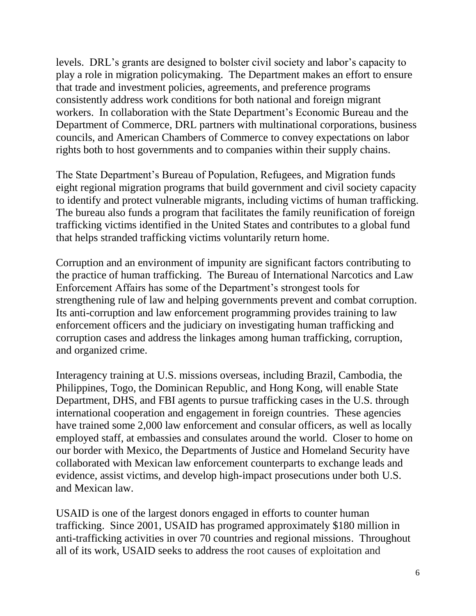levels. DRL's grants are designed to bolster civil society and labor's capacity to play a role in migration policymaking. The Department makes an effort to ensure that trade and investment policies, agreements, and preference programs consistently address work conditions for both national and foreign migrant workers. In collaboration with the State Department's Economic Bureau and the Department of Commerce, DRL partners with multinational corporations, business councils, and American Chambers of Commerce to convey expectations on labor rights both to host governments and to companies within their supply chains.

The State Department's Bureau of Population, Refugees, and Migration funds eight regional migration programs that build government and civil society capacity to identify and protect vulnerable migrants, including victims of human trafficking. The bureau also funds a program that facilitates the family reunification of foreign trafficking victims identified in the United States and contributes to a global fund that helps stranded trafficking victims voluntarily return home.

Corruption and an environment of impunity are significant factors contributing to the practice of human trafficking. The Bureau of International Narcotics and Law Enforcement Affairs has some of the Department's strongest tools for strengthening rule of law and helping governments prevent and combat corruption. Its anti-corruption and law enforcement programming provides training to law enforcement officers and the judiciary on investigating human trafficking and corruption cases and address the linkages among human trafficking, corruption, and organized crime.

Interagency training at U.S. missions overseas, including Brazil, Cambodia, the Philippines, Togo, the Dominican Republic, and Hong Kong, will enable State Department, DHS, and FBI agents to pursue trafficking cases in the U.S. through international cooperation and engagement in foreign countries. These agencies have trained some 2,000 law enforcement and consular officers, as well as locally employed staff, at embassies and consulates around the world. Closer to home on our border with Mexico, the Departments of Justice and Homeland Security have collaborated with Mexican law enforcement counterparts to exchange leads and evidence, assist victims, and develop high-impact prosecutions under both U.S. and Mexican law.

USAID is one of the largest donors engaged in efforts to counter human trafficking. Since 2001, USAID has programed approximately \$180 million in anti-trafficking activities in over 70 countries and regional missions. Throughout all of its work, USAID seeks to address the root causes of exploitation and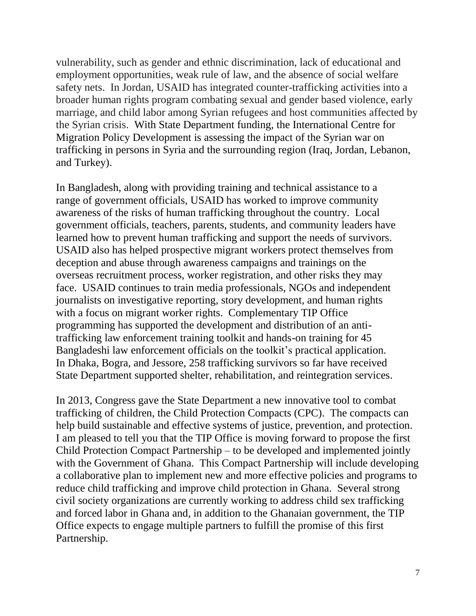vulnerability, such as gender and ethnic discrimination, lack of educational and employment opportunities, weak rule of law, and the absence of social welfare safety nets. In Jordan, USAID has integrated counter-trafficking activities into a broader human rights program combating sexual and gender based violence, early marriage, and child labor among Syrian refugees and host communities affected by the Syrian crisis. With State Department funding, the International Centre for Migration Policy Development is assessing the impact of the Syrian war on trafficking in persons in Syria and the surrounding region (Iraq, Jordan, Lebanon, and Turkey).

In Bangladesh, along with providing training and technical assistance to a range of government officials, USAID has worked to improve community awareness of the risks of human trafficking throughout the country. Local government officials, teachers, parents, students, and community leaders have learned how to prevent human trafficking and support the needs of survivors. USAID also has helped prospective migrant workers protect themselves from deception and abuse through awareness campaigns and trainings on the overseas recruitment process, worker registration, and other risks they may face. USAID continues to train media professionals, NGOs and independent journalists on investigative reporting, story development, and human rights with a focus on migrant worker rights. Complementary TIP Office programming has supported the development and distribution of an antitrafficking law enforcement training toolkit and hands-on training for 45 Bangladeshi law enforcement officials on the toolkit's practical application. In Dhaka, Bogra, and Jessore, 258 trafficking survivors so far have received State Department supported shelter, rehabilitation, and reintegration services.

In 2013, Congress gave the State Department a new innovative tool to combat trafficking of children, the Child Protection Compacts (CPC). The compacts can help build sustainable and effective systems of justice, prevention, and protection. I am pleased to tell you that the TIP Office is moving forward to propose the first Child Protection Compact Partnership – to be developed and implemented jointly with the Government of Ghana. This Compact Partnership will include developing a collaborative plan to implement new and more effective policies and programs to reduce child trafficking and improve child protection in Ghana. Several strong civil society organizations are currently working to address child sex trafficking and forced labor in Ghana and, in addition to the Ghanaian government, the TIP Office expects to engage multiple partners to fulfill the promise of this first Partnership.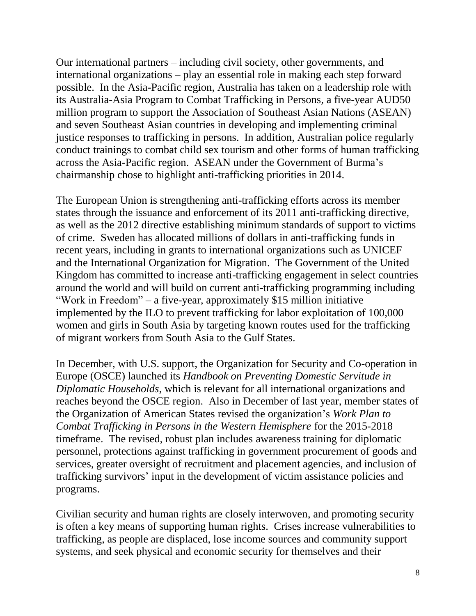Our international partners – including civil society, other governments, and international organizations – play an essential role in making each step forward possible. In the Asia-Pacific region, Australia has taken on a leadership role with its Australia-Asia Program to Combat Trafficking in Persons, a five-year AUD50 million program to support the Association of Southeast Asian Nations (ASEAN) and seven Southeast Asian countries in developing and implementing criminal justice responses to trafficking in persons. In addition, Australian police regularly conduct trainings to combat child sex tourism and other forms of human trafficking across the Asia-Pacific region. ASEAN under the Government of Burma's chairmanship chose to highlight anti-trafficking priorities in 2014.

The European Union is strengthening anti-trafficking efforts across its member states through the issuance and enforcement of its 2011 anti-trafficking directive, as well as the 2012 directive establishing minimum standards of support to victims of crime. Sweden has allocated millions of dollars in anti-trafficking funds in recent years, including in grants to international organizations such as UNICEF and the International Organization for Migration. The Government of the United Kingdom has committed to increase anti-trafficking engagement in select countries around the world and will build on current anti-trafficking programming including "Work in Freedom" – a five-year, approximately \$15 million initiative implemented by the ILO to prevent trafficking for labor exploitation of 100,000 women and girls in South Asia by targeting known routes used for the trafficking of migrant workers from South Asia to the Gulf States.

In December, with U.S. support, the Organization for Security and Co-operation in Europe (OSCE) launched its *Handbook on Preventing Domestic Servitude in Diplomatic Households*, which is relevant for all international organizations and reaches beyond the OSCE region. Also in December of last year, member states of the Organization of American States revised the organization's *Work Plan to Combat Trafficking in Persons in the Western Hemisphere* for the 2015-2018 timeframe. The revised, robust plan includes awareness training for diplomatic personnel, protections against trafficking in government procurement of goods and services, greater oversight of recruitment and placement agencies, and inclusion of trafficking survivors' input in the development of victim assistance policies and programs.

Civilian security and human rights are closely interwoven, and promoting security is often a key means of supporting human rights. Crises increase vulnerabilities to trafficking, as people are displaced, lose income sources and community support systems, and seek physical and economic security for themselves and their